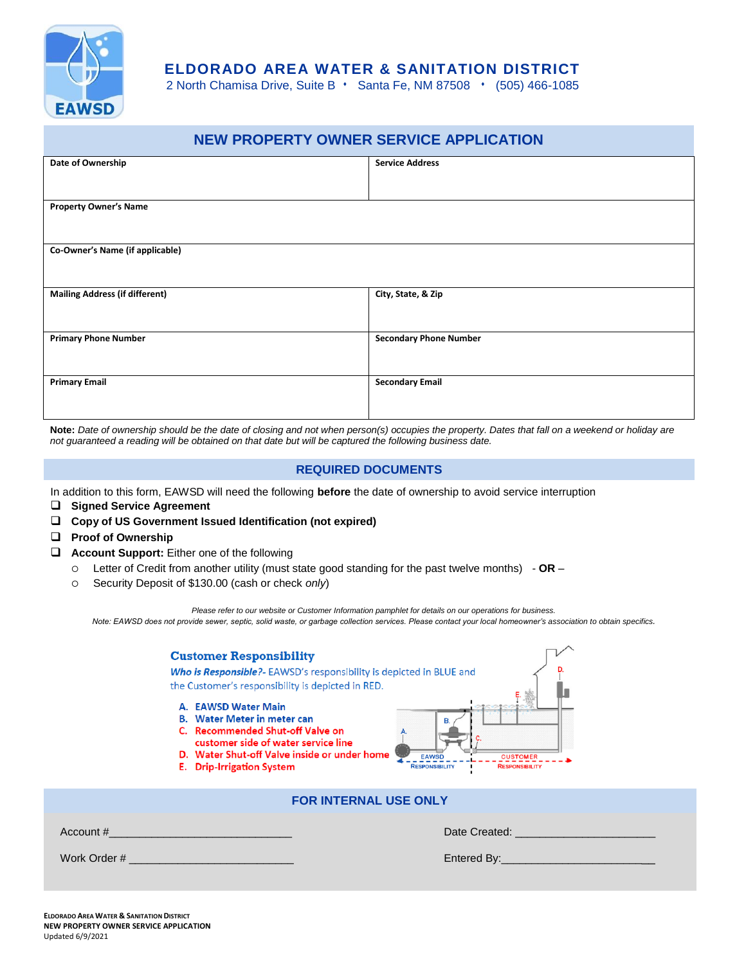

## **ELDORADO AREA WATER & SANITATION DISTRICT**

2 North Chamisa Drive, Suite B · Santa Fe, NM 87508 · (505) 466-1085

| <b>NEW PROPERTY OWNER SERVICE APPLICATION</b> |                               |  |  |
|-----------------------------------------------|-------------------------------|--|--|
| Date of Ownership                             | <b>Service Address</b>        |  |  |
|                                               |                               |  |  |
| <b>Property Owner's Name</b>                  |                               |  |  |
|                                               |                               |  |  |
| Co-Owner's Name (if applicable)               |                               |  |  |
|                                               |                               |  |  |
| <b>Mailing Address (if different)</b>         | City, State, & Zip            |  |  |
|                                               |                               |  |  |
| <b>Primary Phone Number</b>                   | <b>Secondary Phone Number</b> |  |  |
|                                               |                               |  |  |
| <b>Primary Email</b>                          | <b>Secondary Email</b>        |  |  |
|                                               |                               |  |  |

**Note:** *Date of ownership should be the date of closing and not when person(s) occupies the property. Dates that fall on a weekend or holiday are not guaranteed a reading will be obtained on that date but will be captured the following business date.*

## **REQUIRED DOCUMENTS**

In addition to this form, EAWSD will need the following **before** the date of ownership to avoid service interruption

- **Signed Service Agreement**
- **Copy of US Government Issued Identification (not expired)**
- **Proof of Ownership**
- **Account Support:** Either one of the following
	- Letter of Credit from another utility (must state good standing for the past twelve months) **OR** –
	- Security Deposit of \$130.00 (cash or check *only*)

*Please refer to our website or Customer Information pamphlet for details on our operations for business. Note: EAWSD does not provide sewer, septic, solid waste, or garbage collection services. Please contact your local homeowner's association to obtain specifics.*

| <b>Customer Responsibility</b>                          | Who is Responsible?- EAWSD's responsibility is depicted in BLUE and<br>the Customer's responsibility is depicted in RED.                                                                                                                           |  |  |
|---------------------------------------------------------|----------------------------------------------------------------------------------------------------------------------------------------------------------------------------------------------------------------------------------------------------|--|--|
| A. EAWSD Water Main<br><b>E.</b> Drip-Irrigation System | <b>B.</b> Water Meter in meter can<br>C. Recommended Shut-off Valve on<br>customer side of water service line<br>D. Water Shut-off Valve inside or under home<br><b>EAWSD</b><br><b>CUSTOMER</b><br><b>RESPONSIBILITY</b><br><b>RESPONSIBILITY</b> |  |  |
| <b>FOR INTERNAL USE ONLY</b>                            |                                                                                                                                                                                                                                                    |  |  |
| Account # 2009 Account # 2009 Account # 2009 Account #  | Date Created: <b>Example 2008</b>                                                                                                                                                                                                                  |  |  |
|                                                         |                                                                                                                                                                                                                                                    |  |  |
|                                                         |                                                                                                                                                                                                                                                    |  |  |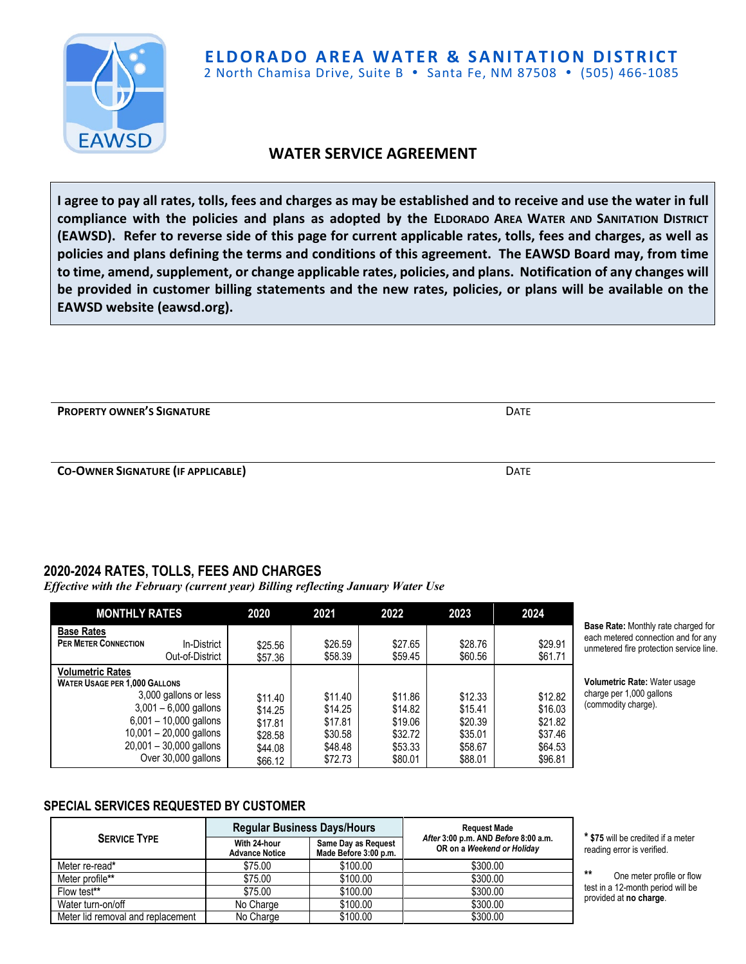

# **WATER SERVICE AGREEMENT**

**I agree to pay all rates, tolls, fees and charges as may be established and to receive and use the water in full compliance with the policies and plans as adopted by the ELDORADO AREA WATER AND SANITATION DISTRICT (EAWSD). Refer to reverse side of this page for current applicable rates, tolls, fees and charges, as well as policies and plans defining the terms and conditions of this agreement. The EAWSD Board may, from time to time, amend, supplement, or change applicable rates, policies, and plans. Notification of any changes will be provided in customer billing statements and the new rates, policies, or plans will be available on the EAWSD website (eawsd.org).**

**PROPERTY OWNER'S SIGNATURE DATE DATE** 

**CO-OWNER SIGNATURE (IF APPLICABLE)** DATE

# **2020-2024 RATES, TOLLS, FEES AND CHARGES**

*Effective with the February (current year) Billing reflecting January Water Use*

| <b>MONTHLY RATES</b>                                                                                                                                                                                                             | 2020                                                           | 2021                                                           | 2022                                                           | 2023                                                           | 2024                                                           |
|----------------------------------------------------------------------------------------------------------------------------------------------------------------------------------------------------------------------------------|----------------------------------------------------------------|----------------------------------------------------------------|----------------------------------------------------------------|----------------------------------------------------------------|----------------------------------------------------------------|
| <b>Base Rates</b><br><b>PER METER CONNECTION</b><br>In-District<br>Out-of-District                                                                                                                                               | \$25.56<br>\$57.36                                             | \$26.59<br>\$58.39                                             | \$27.65<br>\$59.45                                             | \$28.76<br>\$60.56                                             | \$29.91<br>\$61.71                                             |
| <b>Volumetric Rates</b><br><b>WATER USAGE PER 1.000 GALLONS</b><br>3,000 gallons or less<br>$3,001 - 6,000$ gallons<br>$6,001 - 10,000$ gallons<br>$10,001 - 20,000$ gallons<br>$20,001 - 30,000$ gallons<br>Over 30,000 gallons | \$11.40<br>\$14.25<br>\$17.81<br>\$28.58<br>\$44.08<br>\$66.12 | \$11.40<br>\$14.25<br>\$17.81<br>\$30.58<br>\$48.48<br>\$72.73 | \$11.86<br>\$14.82<br>\$19.06<br>\$32.72<br>\$53.33<br>\$80.01 | \$12.33<br>\$15.41<br>\$20.39<br>\$35.01<br>\$58.67<br>\$88.01 | \$12.82<br>\$16.03<br>\$21.82<br>\$37.46<br>\$64.53<br>\$96.81 |

**Base Rate:** Monthly rate charged for each metered connection and for any unmetered fire protection service line.

**Volumetric Rate:** Water usage charge per 1,000 gallons (commodity charge).

## **SPECIAL SERVICES REQUESTED BY CUSTOMER**

|                                   | <b>Regular Business Days/Hours</b>    |                                              | <b>Request Made</b>                                                |  |
|-----------------------------------|---------------------------------------|----------------------------------------------|--------------------------------------------------------------------|--|
| <b>SERVICE TYPE</b>               | With 24-hour<br><b>Advance Notice</b> | Same Day as Request<br>Made Before 3:00 p.m. | After 3:00 p.m. AND Before 8:00 a.m.<br>OR on a Weekend or Holiday |  |
| Meter re-read*                    | \$75.00                               | \$100.00                                     | \$300.00                                                           |  |
| Meter profile**                   | \$75.00                               | \$100.00                                     | \$300.00                                                           |  |
| Flow test**                       | \$75.00                               | \$100.00                                     | \$300.00                                                           |  |
| Water turn-on/off                 | No Charge                             | \$100.00                                     | \$300.00                                                           |  |
| Meter lid removal and replacement | No Charge                             | \$100.00                                     | \$300.00                                                           |  |

**\* \$75** will be credited if a meter reading error is verified.

One meter profile or flow test in a 12-month period will be provided at **no charge**.